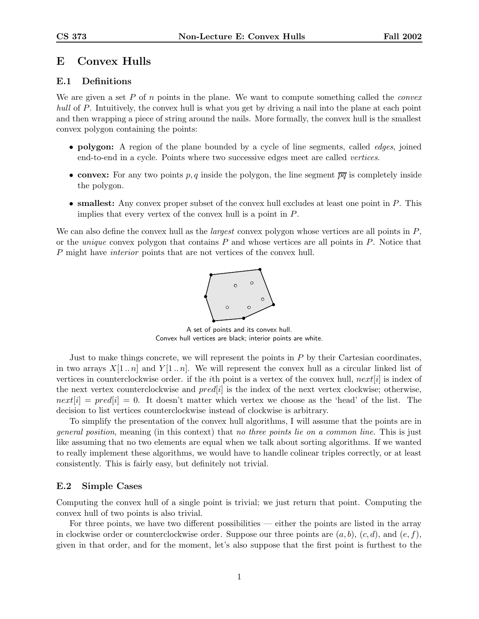# E Convex Hulls

# E.1 Definitions

We are given a set P of n points in the plane. We want to compute something called the *convex* hull of P. Intuitively, the convex hull is what you get by driving a nail into the plane at each point and then wrapping a piece of string around the nails. More formally, the convex hull is the smallest convex polygon containing the points:

- **polygon:** A region of the plane bounded by a cycle of line segments, called *edges*, joined end-to-end in a cycle. Points where two successive edges meet are called vertices.
- convex: For any two points p, q inside the polygon, the line segment  $\overline{pq}$  is completely inside the polygon.
- smallest: Any convex proper subset of the convex hull excludes at least one point in  $P$ . This implies that every vertex of the convex hull is a point in P.

We can also define the convex hull as the *largest* convex polygon whose vertices are all points in  $P$ , or the *unique* convex polygon that contains  $P$  and whose vertices are all points in  $P$ . Notice that P might have interior points that are not vertices of the convex hull.



A set of points and its convex hull. Convex hull vertices are black; interior points are white.

Just to make things concrete, we will represent the points in  $P$  by their Cartesian coordinates, in two arrays  $X[1..n]$  and  $Y[1..n]$ . We will represent the convex hull as a circular linked list of vertices in counterclockwise order. if the *i*th point is a vertex of the convex hull,  $next[i]$  is index of the next vertex counterclockwise and  $pred[i]$  is the index of the next vertex clockwise; otherwise,  $next[i] = pred[i] = 0$ . It doesn't matter which vertex we choose as the 'head' of the list. The decision to list vertices counterclockwise instead of clockwise is arbitrary.

To simplify the presentation of the convex hull algorithms, I will assume that the points are in general position, meaning (in this context) that no three points lie on a common line. This is just like assuming that no two elements are equal when we talk about sorting algorithms. If we wanted to really implement these algorithms, we would have to handle colinear triples correctly, or at least consistently. This is fairly easy, but definitely not trivial.

### E.2 Simple Cases

Computing the convex hull of a single point is trivial; we just return that point. Computing the convex hull of two points is also trivial.

For three points, we have two different possibilities — either the points are listed in the array in clockwise order or counterclockwise order. Suppose our three points are  $(a, b)$ ,  $(c, d)$ , and  $(e, f)$ , given in that order, and for the moment, let's also suppose that the first point is furthest to the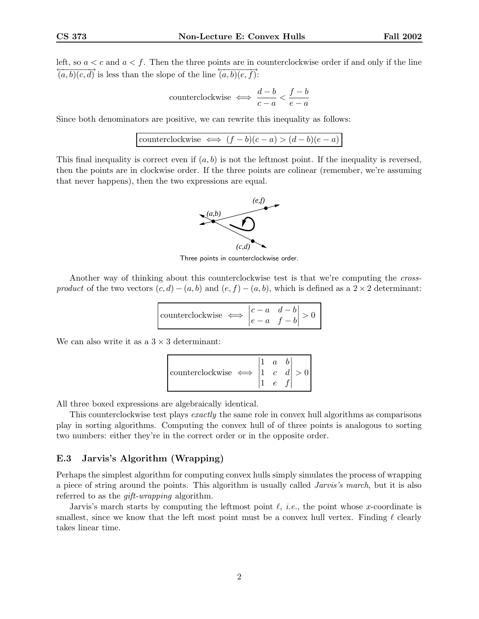left, so  $a < c$  and  $a < f$ . Then the three points are in counterclockwise order if and only if the line  $\overrightarrow{(a, b)(c, d)}$  is less than the slope of the line  $\overrightarrow{(a, b)(e, f)}$ :

counterclockwise 
$$
\iff
$$
  $\frac{d-b}{c-a} < \frac{f-b}{e-a}$ 

Since both denominators are positive, we can rewrite this inequality as follows:

counterclockwise 
$$
\iff
$$
  $(f - b)(c - a) > (d - b)(e - a)$ 

This final inequality is correct even if  $(a, b)$  is not the leftmost point. If the inequality is reversed, then the points are in clockwise order. If the three points are colinear (remember, we're assuming that never happens), then the two expressions are equal.



Three points in counterclockwise order.

Another way of thinking about this counterclockwise test is that we're computing the crossproduct of the two vectors  $(c, d) - (a, b)$  and  $(e, f) - (a, b)$ , which is defined as a 2 × 2 determinant:

| $\begin{vmatrix} \text{counterclockwise} & \longleftrightarrow & \begin{vmatrix} c-a & d-b \\ e-a & f-b \end{vmatrix} > \end{vmatrix}$ |  |  |
|----------------------------------------------------------------------------------------------------------------------------------------|--|--|
|----------------------------------------------------------------------------------------------------------------------------------------|--|--|

We can also write it as a  $3 \times 3$  determinant:

counterclockwise 
$$
\iff
$$
  $\begin{vmatrix} 1 & a & b \\ 1 & c & d \\ 1 & e & f \end{vmatrix} > 0$ 

All three boxed expressions are algebraically identical.

This counterclockwise test plays *exactly* the same role in convex hull algorithms as comparisons play in sorting algorithms. Computing the convex hull of of three points is analogous to sorting two numbers: either they're in the correct order or in the opposite order.

#### E.3 Jarvis's Algorithm (Wrapping)

Perhaps the simplest algorithm for computing convex hulls simply simulates the process of wrapping a piece of string around the points. This algorithm is usually called *Jarvis's march*, but it is also referred to as the *gift-wrapping* algorithm.

Jarvis's march starts by computing the leftmost point  $\ell$ , *i.e.*, the point whose x-coordinate is smallest, since we know that the left most point must be a convex hull vertex. Finding  $\ell$  clearly takes linear time.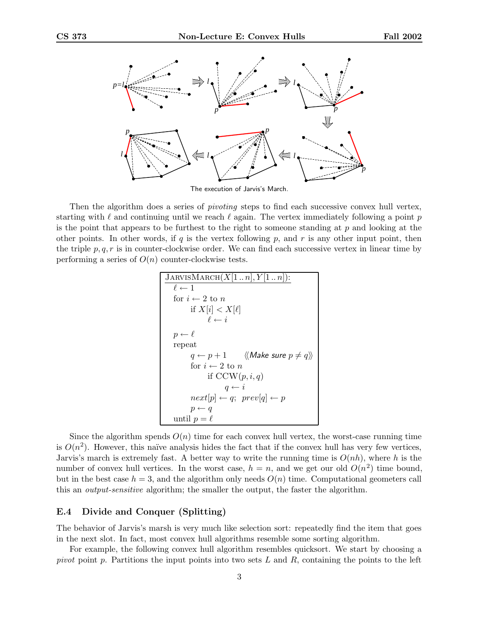

The execution of Jarvis's March.

Then the algorithm does a series of *pivoting* steps to find each successive convex hull vertex, starting with  $\ell$  and continuing until we reach  $\ell$  again. The vertex immediately following a point p is the point that appears to be furthest to the right to someone standing at  $p$  and looking at the other points. In other words, if q is the vertex following  $p$ , and  $r$  is any other input point, then the triple  $p, q, r$  is in counter-clockwise order. We can find each successive vertex in linear time by performing a series of  $O(n)$  counter-clockwise tests.

```
JARVISMARCH(X[1.. n], Y[1.. n]):
\ell \leftarrow 1for i \leftarrow 2 to n
        if X[i] < X[\ell]\ell \leftarrow ip \leftarrow \ellrepeat
        q \leftarrow p + 1 \quad \langle \langle Make \; sure \; p \neq q \rangle \ranglefor i \leftarrow 2 to n
                if CCW(p, i, q)q \leftarrow inext[p] \leftarrow q; \ prev[q] \leftarrow pp \leftarrow quntil p = \ell
```
Since the algorithm spends  $O(n)$  time for each convex hull vertex, the worst-case running time is  $O(n^2)$ . However, this naïve analysis hides the fact that if the convex hull has very few vertices, Jarvis's march is extremely fast. A better way to write the running time is  $O(nh)$ , where h is the number of convex hull vertices. In the worst case,  $h = n$ , and we get our old  $O(n^2)$  time bound, but in the best case  $h = 3$ , and the algorithm only needs  $O(n)$  time. Computational geometers call this an output-sensitive algorithm; the smaller the output, the faster the algorithm.

#### E.4 Divide and Conquer (Splitting)

The behavior of Jarvis's marsh is very much like selection sort: repeatedly find the item that goes in the next slot. In fact, most convex hull algorithms resemble some sorting algorithm.

For example, the following convex hull algorithm resembles quicksort. We start by choosing a pivot point p. Partitions the input points into two sets  $L$  and  $R$ , containing the points to the left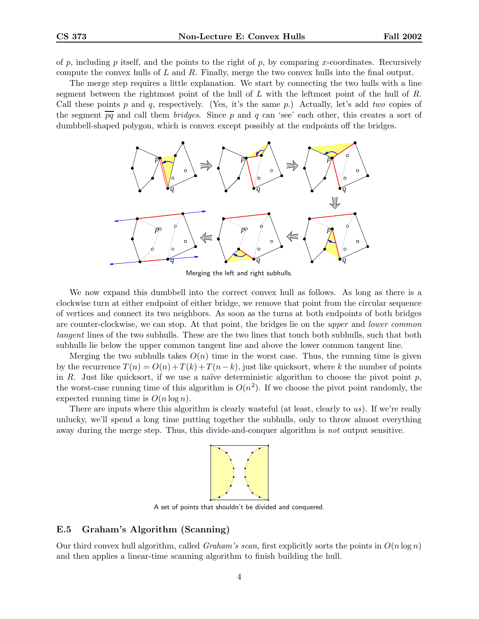of p, including p itself, and the points to the right of p, by comparing x-coordinates. Recursively compute the convex hulls of L and R. Finally, merge the two convex hulls into the final output.

The merge step requires a little explanation. We start by connecting the two hulls with a line segment between the rightmost point of the hull of  $L$  with the leftmost point of the hull of  $R$ . Call these points p and q, respectively. (Yes, it's the same p.) Actually, let's add two copies of the segment  $\overline{pq}$  and call them *bridges*. Since p and q can 'see' each other, this creates a sort of dumbbell-shaped polygon, which is convex except possibly at the endpoints off the bridges.



Merging the left and right subhulls.

We now expand this dumbbell into the correct convex hull as follows. As long as there is a clockwise turn at either endpoint of either bridge, we remove that point from the circular sequence of vertices and connect its two neighbors. As soon as the turns at both endpoints of both bridges are counter-clockwise, we can stop. At that point, the bridges lie on the upper and lower common tangent lines of the two subhulls. These are the two lines that touch both subhulls, such that both subhulls lie below the upper common tangent line and above the lower common tangent line.

Merging the two subhulls takes  $O(n)$  time in the worst case. Thus, the running time is given by the recurrence  $T(n) = O(n) + T(k) + T(n-k)$ , just like quicksort, where k the number of points in R. Just like quicksort, if we use a naïve deterministic algorithm to choose the pivot point  $p$ , the worst-case running time of this algorithm is  $O(n^2)$ . If we choose the pivot point randomly, the expected running time is  $O(n \log n)$ .

There are inputs where this algorithm is clearly wasteful (at least, clearly to us). If we're really unlucky, we'll spend a long time putting together the subhulls, only to throw almost everything away during the merge step. Thus, this divide-and-conquer algorithm is not output sensitive.



A set of points that shouldn't be divided and conquered.

## E.5 Graham's Algorithm (Scanning)

Our third convex hull algorithm, called *Graham's scan*, first explicitly sorts the points in  $O(n \log n)$ and then applies a linear-time scanning algorithm to finish building the hull.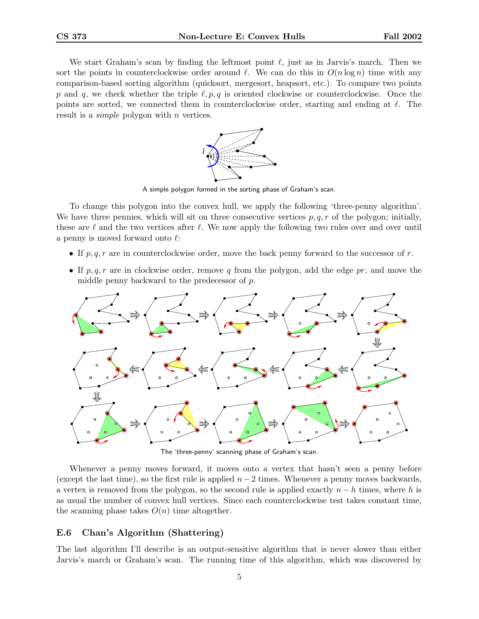We start Graham's scan by finding the leftmost point  $\ell$ , just as in Jarvis's march. Then we sort the points in counterclockwise order around  $\ell$ . We can do this in  $O(n \log n)$  time with any comparison-based sorting algorithm (quicksort, mergesort, heapsort, etc.). To compare two points p and q, we check whether the triple  $\ell, p, q$  is oriented clockwise or counterclockwise. Once the points are sorted, we connected them in counterclockwise order, starting and ending at  $\ell$ . The result is a *simple* polygon with *n* vertices.



A simple polygon formed in the sorting phase of Graham's scan.

To change this polygon into the convex hull, we apply the following 'three-penny algorithm'. We have three pennies, which will sit on three consecutive vertices  $p, q, r$  of the polygon; initially, these are  $\ell$  and the two vertices after  $\ell$ . We now apply the following two rules over and over until a penny is moved forward onto  $\ell$ :

- If  $p, q, r$  are in counterclockwise order, move the back penny forward to the successor of r.
- If  $p, q, r$  are in clockwise order, remove q from the polygon, add the edge pr, and move the middle penny backward to the predecessor of p.



The 'three-penny' scanning phase of Graham's scan.

Whenever a penny moves forward, it moves onto a vertex that hasn't seen a penny before (except the last time), so the first rule is applied  $n-2$  times. Whenever a penny moves backwards, a vertex is removed from the polygon, so the second rule is applied exactly  $n - h$  times, where h is as usual the number of convex hull vertices. Since each counterclockwise test takes constant time, the scanning phase takes  $O(n)$  time altogether.

## E.6 Chan's Algorithm (Shattering)

The last algorithm I'll describe is an output-sensitive algorithm that is never slower than either Jarvis's march or Graham's scan. The running time of this algorithm, which was discovered by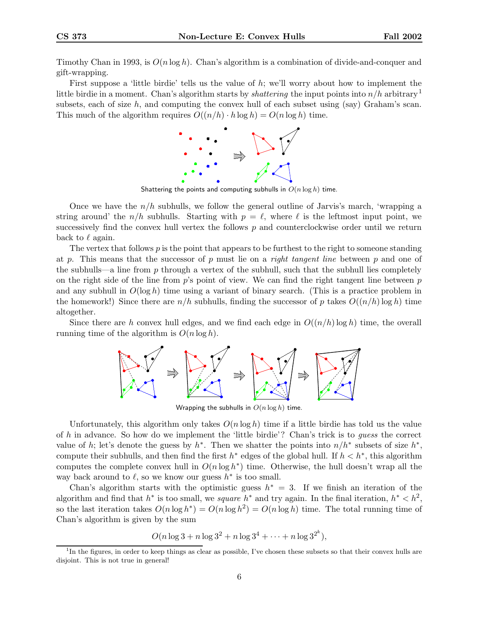Timothy Chan in 1993, is  $O(n \log h)$ . Chan's algorithm is a combination of divide-and-conquer and gift-wrapping.

First suppose a 'little birdie' tells us the value of h; we'll worry about how to implement the little birdie in a moment. Chan's algorithm starts by *shattering* the input points into  $n/h$  arbitrary<sup>1</sup> subsets, each of size h, and computing the convex hull of each subset using (say) Graham's scan. This much of the algorithm requires  $O((n/h) \cdot h \log h) = O(n \log h)$  time.



Shattering the points and computing subhulls in  $O(n \log h)$  time.

Once we have the  $n/h$  subhulls, we follow the general outline of Jarvis's march, 'wrapping a string around' the  $n/h$  subhulls. Starting with  $p = \ell$ , where  $\ell$  is the leftmost input point, we successively find the convex hull vertex the follows  $p$  and counterclockwise order until we return back to  $\ell$  again.

The vertex that follows  $p$  is the point that appears to be furthest to the right to someone standing at p. This means that the successor of p must lie on a *right tangent line* between p and one of the subhulls—a line from p through a vertex of the subhull, such that the subhull lies completely on the right side of the line from  $p$ 's point of view. We can find the right tangent line between  $p$ and any subhull in  $O(\log h)$  time using a variant of binary search. (This is a practice problem in the homework!) Since there are  $n/h$  subhulls, finding the successor of p takes  $O((n/h)\log h)$  time altogether.

Since there are h convex hull edges, and we find each edge in  $O((n/h)\log h)$  time, the overall running time of the algorithm is  $O(n \log h)$ .



Wrapping the subhulls in  $O(n \log h)$  time.

Unfortunately, this algorithm only takes  $O(n \log h)$  time if a little birdie has told us the value of h in advance. So how do we implement the 'little birdie'? Chan's trick is to guess the correct value of h; let's denote the guess by  $h^*$ . Then we shatter the points into  $n/h^*$  subsets of size  $h^*$ , compute their subhulls, and then find the first  $h^*$  edges of the global hull. If  $h < h^*$ , this algorithm computes the complete convex hull in  $O(n \log h^*)$  time. Otherwise, the hull doesn't wrap all the way back around to  $\ell$ , so we know our guess  $h^*$  is too small.

Chan's algorithm starts with the optimistic guess  $h^* = 3$ . If we finish an iteration of the algorithm and find that  $h^*$  is too small, we *square*  $h^*$  and try again. In the final iteration,  $h^* < h^2$ , so the last iteration takes  $O(n \log h^*) = O(n \log h^2) = O(n \log h)$  time. The total running time of Chan's algorithm is given by the sum

$$
O(n \log 3 + n \log 3^2 + n \log 3^4 + \dots + n \log 3^{2^k}),
$$

<sup>&</sup>lt;sup>1</sup>In the figures, in order to keep things as clear as possible, I've chosen these subsets so that their convex hulls are disjoint. This is not true in general!